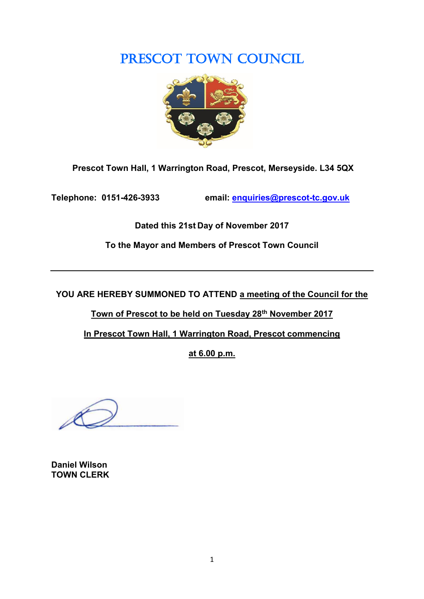# PRESCOT TOWN COUNCIL



**Prescot Town Hall, 1 Warrington Road, Prescot, Merseyside. L34 5QX**

**Telephone: 0151-426-3933 email: [enquiries@prescot-tc.gov.uk](mailto:enquiries@prescot-tc.gov.uk)**

**Dated this 21st Day of November 2017**

**To the Mayor and Members of Prescot Town Council**

**YOU ARE HEREBY SUMMONED TO ATTEND a meeting of the Council for the** 

**Town of Prescot to be held on Tuesday 28 th November 2017**

**In Prescot Town Hall, 1 Warrington Road, Prescot commencing**

**at 6.00 p.m.**

**Daniel Wilson TOWN CLERK**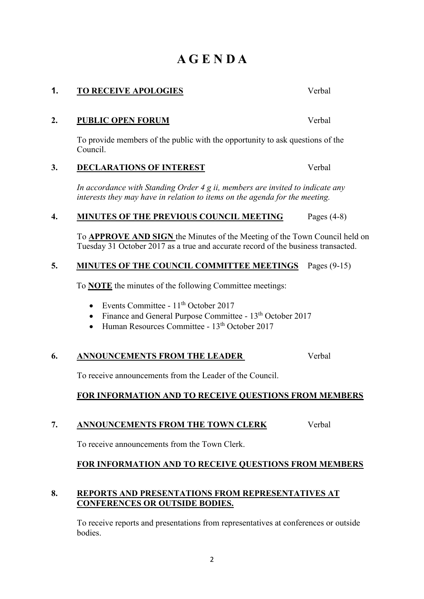# **A G E N D A**

**1. TO RECEIVE APOLOGIES** Verbal

# **2. PUBLIC OPEN FORUM** Verbal

To provide members of the public with the opportunity to ask questions of the Council.

# **3. DECLARATIONS OF INTEREST** Verbal

*In accordance with Standing Order 4 g ii, members are invited to indicate any interests they may have in relation to items on the agenda for the meeting.*

# **4. MINUTES OF THE PREVIOUS COUNCIL MEETING** Pages (4-8)

To **APPROVE AND SIGN** the Minutes of the Meeting of the Town Council held on Tuesday 31 October 2017 as a true and accurate record of the business transacted.

# **5. MINUTES OF THE COUNCIL COMMITTEE MEETINGS** Pages (9-15)

To **NOTE** the minutes of the following Committee meetings:

- Events Committee  $11<sup>th</sup>$  October 2017
- Finance and General Purpose Committee 13<sup>th</sup> October 2017
- Human Resources Committee 13<sup>th</sup> October 2017

#### **6. ANNOUNCEMENTS FROM THE LEADER** Verbal

To receive announcements from the Leader of the Council.

# **FOR INFORMATION AND TO RECEIVE QUESTIONS FROM MEMBERS**

# **7. ANNOUNCEMENTS FROM THE TOWN CLERK** Verbal

To receive announcements from the Town Clerk.

# **FOR INFORMATION AND TO RECEIVE QUESTIONS FROM MEMBERS**

#### **8. REPORTS AND PRESENTATIONS FROM REPRESENTATIVES AT CONFERENCES OR OUTSIDE BODIES.**

To receive reports and presentations from representatives at conferences or outside bodies.